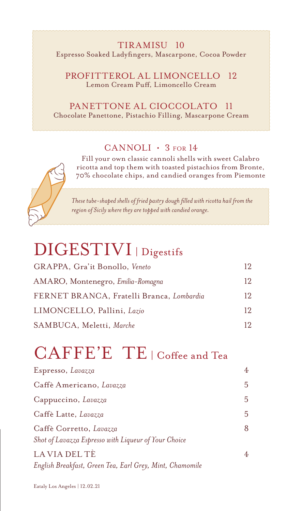#### TIRAMISU 10 Espresso Soaked Ladyfingers, Mascarpone, Cocoa Powder

PROFITTEROL AL LIMONCELLO 12 Lemon Cream Puff, Limoncello Cream

PANETTONE AL CIOCCOLATO 11 Chocolate Panettone, Pistachio Filling, Mascarpone Cream

#### CANNOLI • 3 FOR 14

Fill your own classic cannoli shells with sweet Calabro ricotta and top them with toasted pistachios from Bronte, 70% chocolate chips, and candied oranges from Piemonte

*These tube-shaped shells of fried pastry dough filled with ricotta hail from the region of Sicily where they are topped with candied orange.*

### DIGESTIVI | Digestifs

| GRAPPA, Gra'it Bonollo, Veneto            | 12 |
|-------------------------------------------|----|
| AMARO, Montenegro, Emilia-Romagna         | 12 |
| FERNET BRANCA, Fratelli Branca, Lombardia | 12 |
| LIMONCELLO, Pallini, Lazio                | 12 |
| SAMBUCA, Meletti, Marche                  | 12 |

## CAFFE'E TE | Coffee and Tea

| Espresso, Lavazza                                        | 4 |
|----------------------------------------------------------|---|
| Caffè Americano, Lavazza                                 | 5 |
| Cappuccino, Lavazza                                      | 5 |
| Caffè Latte, Lavazza                                     | 5 |
| Caffè Corretto, Lavazza                                  | 8 |
| Shot of Lavazza Espresso with Liqueur of Your Choice     |   |
| LA VIA DEL TÈ                                            | 4 |
| English Breakfast, Green Tea, Earl Grey, Mint, Chamomile |   |